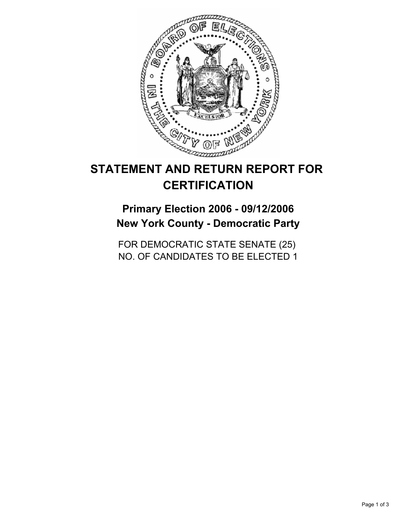

# **STATEMENT AND RETURN REPORT FOR CERTIFICATION**

**Primary Election 2006 - 09/12/2006 New York County - Democratic Party**

FOR DEMOCRATIC STATE SENATE (25) NO. OF CANDIDATES TO BE ELECTED 1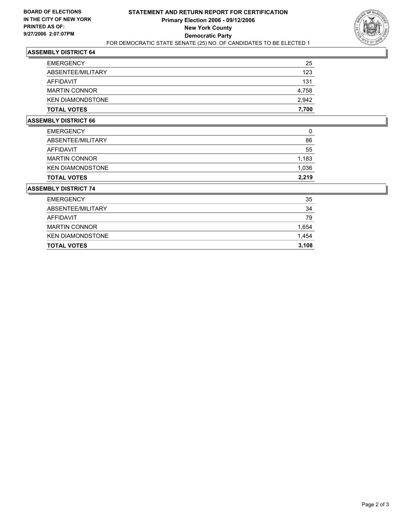

## **ASSEMBLY DISTRICT 64**

| <b>EMERGENCY</b>        | 25    |
|-------------------------|-------|
| ABSENTEE/MILITARY       | 123   |
| AFFIDAVIT               | 131   |
| <b>MARTIN CONNOR</b>    | 4,758 |
| <b>KEN DIAMONDSTONE</b> | 2,942 |
| <b>TOTAL VOTES</b>      | 7,700 |

## **ASSEMBLY DISTRICT 66**

| <b>TOTAL VOTES</b>      | 2,219 |
|-------------------------|-------|
| <b>KEN DIAMONDSTONE</b> | 1,036 |
| <b>MARTIN CONNOR</b>    | 1,183 |
| AFFIDAVIT               | 55    |
| ABSENTEE/MILITARY       | 86    |
| <b>EMERGENCY</b>        | 0     |

#### **ASSEMBLY DISTRICT 74**

| <b>TOTAL VOTES</b>      | 3,108 |
|-------------------------|-------|
| <b>KEN DIAMONDSTONE</b> | 1,454 |
| <b>MARTIN CONNOR</b>    | 1,654 |
| AFFIDAVIT               | 79    |
| ABSENTEE/MILITARY       | 34    |
| <b>EMERGENCY</b>        | 35    |